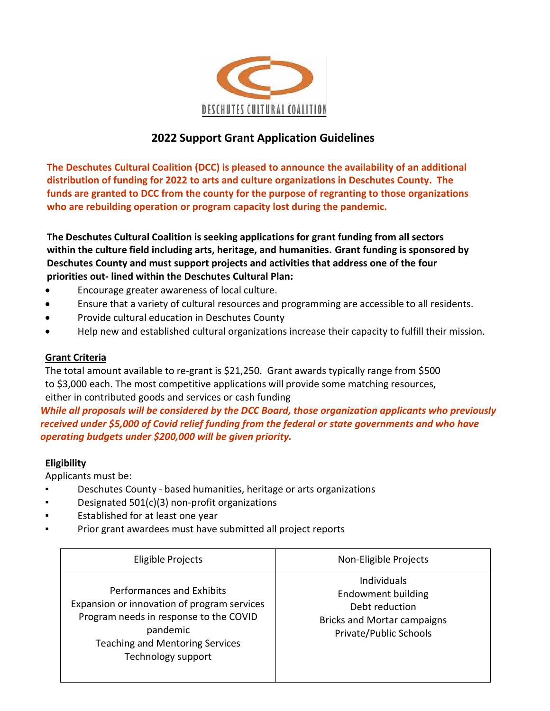

# **2022 Support Grant Application Guidelines**

**The Deschutes Cultural Coalition (DCC) is pleased to announce the availability of an additional distribution of funding for 2022 to arts and culture organizations in Deschutes County. The funds are granted to DCC from the county for the purpose of regranting to those organizations who are rebuilding operation or program capacity lost during the pandemic.** 

**The Deschutes Cultural Coalition is seeking applications for grant funding from all sectors within the culture field including arts, heritage, and humanities. Grant funding is sponsored by Deschutes County and must support projects and activities that address one of the four priorities out- lined within the Deschutes Cultural Plan:**

- Encourage greater awareness of local culture.
- Ensure that a variety of cultural resources and programming are accessible to all residents.
- Provide cultural education in Deschutes County
- Help new and established cultural organizations increase their capacity to fulfill their mission.

## **Grant Criteria**

The total amount available to re-grant is \$21,250. Grant awards typically range from \$500 to \$3,000 each. The most competitive applications will provide some matching resources, either in contributed goods and services or cash funding

*While all proposals will be considered by the DCC Board, those organization applicants who previously received under \$5,000 of Covid relief funding from the federal or state governments and who have operating budgets under \$200,000 will be given priority.*

### **Eligibility**

Applicants must be:

- Deschutes County based humanities, heritage or arts organizations
- Designated  $501(c)(3)$  non-profit organizations
- Established for at least one year
- Prior grant awardees must have submitted all project reports

| Eligible Projects                                                                                                                                                                              | Non-Eligible Projects                                                                                                             |
|------------------------------------------------------------------------------------------------------------------------------------------------------------------------------------------------|-----------------------------------------------------------------------------------------------------------------------------------|
| Performances and Exhibits<br>Expansion or innovation of program services<br>Program needs in response to the COVID<br>pandemic<br><b>Teaching and Mentoring Services</b><br>Technology support | <b>Individuals</b><br>Endowment building<br>Debt reduction<br><b>Bricks and Mortar campaigns</b><br><b>Private/Public Schools</b> |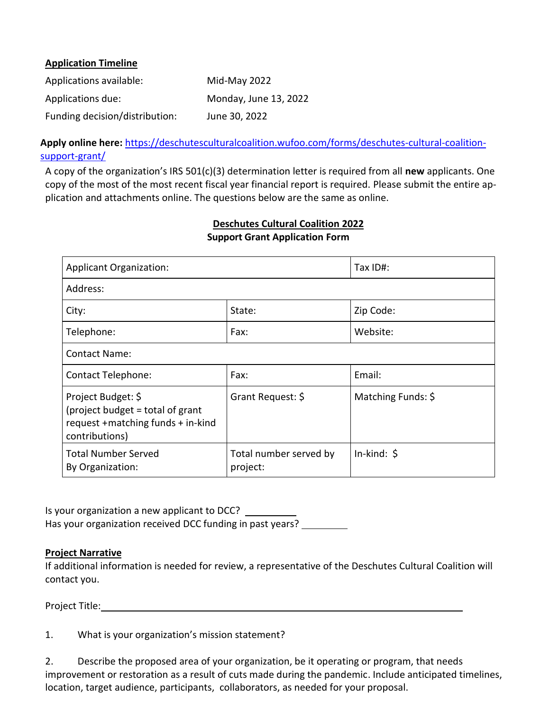#### **Application Timeline**

| Applications available:        | Mid-May 2022          |
|--------------------------------|-----------------------|
| Applications due:              | Monday, June 13, 2022 |
| Funding decision/distribution: | June 30, 2022         |

**Apply online here:** [https://deschutesculturalcoalition.wufoo.com/forms/deschutes-cultural-coalition](https://deschutesculturalcoalition.wufoo.com/forms/deschutes-cultural-coalition-support-grant/)[support-grant/](https://deschutesculturalcoalition.wufoo.com/forms/deschutes-cultural-coalition-support-grant/)

A copy of the organization's IRS 501(c)(3) determination letter is required from all **new** applicants. One copy of the most of the most recent fiscal year financial report is required. Please submit the entire application and attachments online. The questions below are the same as online.

## **Deschutes Cultural Coalition 2022 Support Grant Application Form**

| <b>Applicant Organization:</b>                                                                                 |                                    | Tax ID#:            |
|----------------------------------------------------------------------------------------------------------------|------------------------------------|---------------------|
| Address:                                                                                                       |                                    |                     |
| City:                                                                                                          | State:                             | Zip Code:           |
| Telephone:                                                                                                     | Fax:                               | Website:            |
| <b>Contact Name:</b>                                                                                           |                                    |                     |
| <b>Contact Telephone:</b>                                                                                      | Fax:                               | Email:              |
| Project Budget: \$<br>(project budget = total of grant<br>request + matching funds + in-kind<br>contributions) | Grant Request: \$                  | Matching Funds: \$  |
| <b>Total Number Served</b><br>By Organization:                                                                 | Total number served by<br>project: | $In$ -kind: $\oint$ |

Is your organization a new applicant to DCC? Has your organization received DCC funding in past years? \_\_\_\_\_\_\_\_\_\_

#### **Project Narrative**

If additional information is needed for review, a representative of the Deschutes Cultural Coalition will contact you.

Project Title:

| 1. | What is your organization's mission statement? |
|----|------------------------------------------------|
|    |                                                |

2. Describe the proposed area of your organization, be it operating or program, that needs improvement or restoration as a result of cuts made during the pandemic. Include anticipated timelines, location, target audience, participants, collaborators, as needed for your proposal.